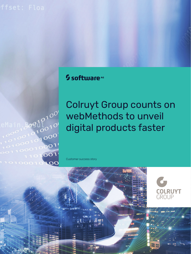# <sup>5</sup> software<sup>46</sup>

 $100$  $\overline{O}$  $\int_0^1$  $\frac{10010}{100}$  $0<sup>10</sup>$  $10^{10^{10}}$  000  $0.0001$ 1101001 10100010100 Colruyt Group counts on webMethods to unveil digital products faster

**COLRUYT**<br>GROUP

Customer success story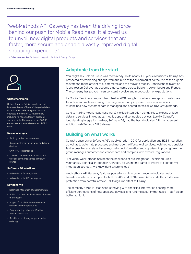"webMethods API Gateway has been the driving force behind our push for Mobile Readiness. It allowed us to unveil new digital products and services that are faster, more secure and enable a vastly improved digital shopping experience."

– Dries Vanmarcke, Technical Integration Architect, Colruyt Group



#### **Customer Profile**

Colruyt Group, a Belgian family-owned business, is one of Europe's largest retailers. Established in 1928, the group owns and operates more than 600 retail stores, including its flagship Colruyt discount supermarkets. The company has 30,000 employees and annual revenues of €9.6 billion.

#### **New challenges**

- Rapid growth of e-commerce
- Rise in customer-facing apps and digital devices
- Shift to API integrations
- Desire to unify customer rewards and wireless payments across all Colruyt brands

#### **Software AG solutions**

- webMethods for integration
- webMethods for API management

### **Key benefits**

- Seamless integration of customer data
- Ability to connect with customers the way they choose
- Support for mobile, e-commerce and wireless payment platforms
- Easy scalability to handle 10 million transactions a day
- Reliable, even during surges in online ordering

### Adaptable from the start

You might say Colruyt Group was "born ready." In its nearly 100 years in business, Colruyt has prospered by embracing change, from the birth of the supermarket, to the rise of the organic movement, to the advent of e-commerce and the move to mobile. Continuous reinvention is one reason Colruyt has become a go-to name across Belgium, Luxembourg and France. The company has proved it can constantly evolve and meet customer expectations.

Its Mobile Readiness program launched in 2018 brought countless new apps to customers for online and mobile ordering. The program not only improved customer service, it streamlined how customer data is managed and shared across all Colruyt Group brands.

Core to making Mobile Readiness work? Flexible integration using APIs to expose unique data and services in web apps, mobile apps and connected devices. Luckily, Colruyt's longstanding integration partner, Software AG, had the best dedicated API management solution: webMethods API Gateway.

### Building on what works

Colruyt began using Software AG's webMethods in 2010 for application and B2B integration, as well as to automate processes and manage the lifecycle of services. webMethods enables fast access to data related to sales, customer information and suppliers, improving how the group manages customer and vendor data and complies with external regulations.

"For years, webMethods has been the backbone of our integration," explained Dries Vanmarcke, Technical Integration Architect. So when time came to evolve the company's integration strategy, "we knew right where to look."

webMethods API Gateway features powerful runtime governance, a dedicated webbased user interface, support for both SOAP- and REST-based APIs, and offers DMZ-level protection from harmful attacks—all things important to Colruyt.

The company's Mobile Readiness is thriving with simplified information sharing, more efficient connections of new apps and devices, and runtime security that helps IT staff sleep better at night.